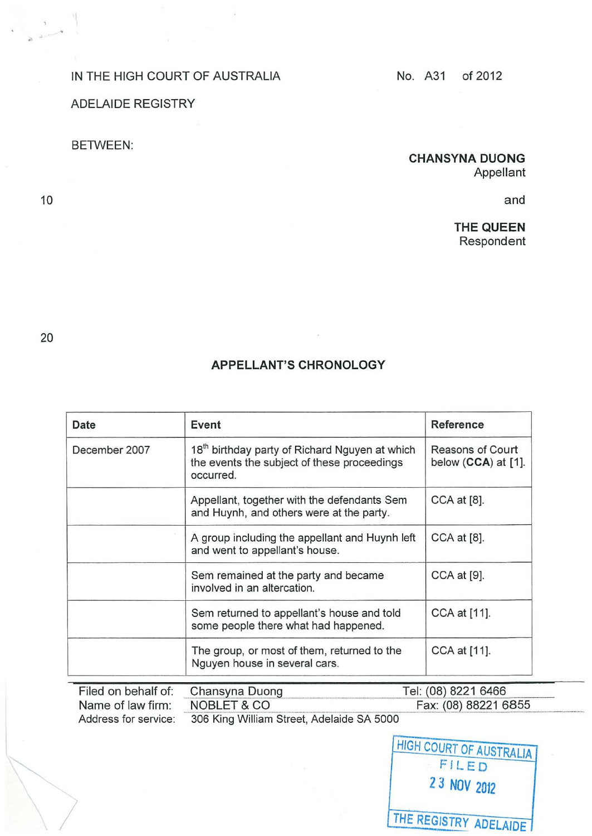## IN THE HIGH COURT OF AUSTRALIA No. A31 of 2012

ADELAIDE REGISTRY

## BETWEEN:

## CHANSYNA DUONG Appellant

and

THE QUEEN Respondent

20

 $\sum$ 

10

## APPELLANT'S CHRONOLOGY

| Date          | Event                                                                                                                  | Reference                               |
|---------------|------------------------------------------------------------------------------------------------------------------------|-----------------------------------------|
| December 2007 | 18 <sup>th</sup> birthday party of Richard Nguyen at which<br>the events the subject of these proceedings<br>occurred. | Reasons of Court<br>below (CCA) at [1]. |
|               | Appellant, together with the defendants Sem<br>and Huynh, and others were at the party.                                | $CCA$ at $[8]$ .                        |
|               | A group including the appellant and Huynh left<br>and went to appellant's house.                                       | CCA at [8].                             |
|               | Sem remained at the party and became<br>involved in an altercation.                                                    | CCA at [9].                             |
|               | Sem returned to appellant's house and told<br>some people there what had happened.                                     | CCA at [11].                            |
|               | The group, or most of them, returned to the<br>Nguyen house in several cars.                                           | CCA at [11].                            |

| Filed on behalf of: Chansyna Duong |                                           | Tel: (08) 8221 6466  |
|------------------------------------|-------------------------------------------|----------------------|
| Name of law firm:                  | NOBLET & CO                               | Fax: (08) 88221 6855 |
| Address for service:               | 306 King William Street, Adelaide SA 5000 |                      |